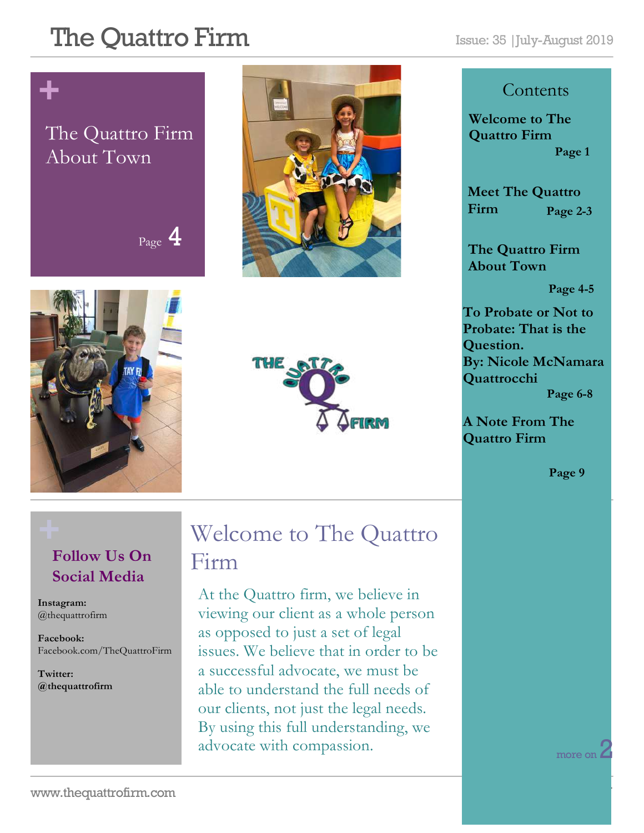# The Quattro Firm Issue: 35 |July-August 2019

# **+**

### The Quattro Firm About Town









#### **Contents**

**Welcome to The Quattro Firm Page 1**

**Meet The Quattro Firm Page 2-3**

**The Quattro Firm About Town**

**Page 4-5**

**To Probate or Not to Probate: That is the Question. By: Nicole McNamara Quattrocchi Page 6-8**

**A Note From The Quattro Firm** 

**Page 9**

### **Follow Us On Social Media**

**Instagram:**  @thequattrofirm

**Facebook:** Facebook.com/TheQuattroFirm

**Twitter: @thequattrofirm**

### **+** Welcome to The Quattro Firm

At the Quattro firm, we believe in viewing our client as a whole person as opposed to just a set of legal issues. We believe that in order to be a successful advocate, we must be able to understand the full needs of our clients, not just the legal needs. By using this full understanding, we advocate with compassion.

more on  $\angle$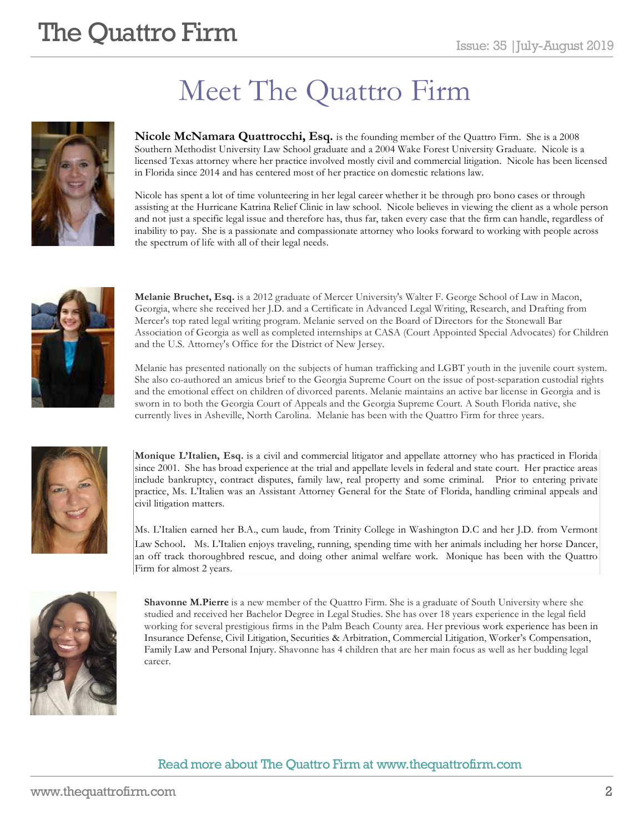# **The Quattro Firm**  $\sum_{\text{Issue: } 35 \mid \text{July-August } 2019}$

# Meet The Quattro Firm



**Nicole McNamara Quattrocchi, Esq.** is the founding member of the Quattro Firm. She is a 2008 Southern Methodist University Law School graduate and a 2004 Wake Forest University Graduate. Nicole is a licensed Texas attorney where her practice involved mostly civil and commercial litigation. Nicole has been licensed in Florida since 2014 and has centered most of her practice on domestic relations law.

Nicole has spent a lot of time volunteering in her legal career whether it be through pro bono cases or through assisting at the Hurricane Katrina Relief Clinic in law school. Nicole believes in viewing the client as a whole person and not just a specific legal issue and therefore has, thus far, taken every case that the firm can handle, regardless of inability to pay. She is a passionate and compassionate attorney who looks forward to working with people across the spectrum of life with all of their legal needs.



**Melanie Bruchet, Esq.** is a 2012 graduate of Mercer University's Walter F. George School of Law in Macon, Georgia, where she received her J.D. and a Certificate in Advanced Legal Writing, Research, and Drafting from Mercer's top rated legal writing program. Melanie served on the Board of Directors for the Stonewall Bar Association of Georgia as well as completed internships at CASA (Court Appointed Special Advocates) for Children and the U.S. Attorney's Office for the District of New Jersey.

Melanie has presented nationally on the subjects of human trafficking and LGBT youth in the juvenile court system. She also co-authored an amicus brief to the Georgia Supreme Court on the issue of post-separation custodial rights and the emotional effect on children of divorced parents. Melanie maintains an active bar license in Georgia and is sworn in to both the Georgia Court of Appeals and the Georgia Supreme Court. A South Florida native, she currently lives in Asheville, North Carolina. Melanie has been with the Quattro Firm for three years.



**Monique L'Italien, Esq.** is a civil and commercial litigator and appellate attorney who has practiced in Florida since 2001. She has broad experience at the trial and appellate levels in federal and state court. Her practice areas include bankruptcy, contract disputes, family law, real property and some criminal. Prior to entering private practice, Ms. L'Italien was an Assistant Attorney General for the State of Florida, handling criminal appeals and civil litigation matters.

Ms. L'Italien earned her B.A., cum laude, from Trinity College in Washington D.C and her J.D. from Vermont Law School. Ms. L'Italien enjoys traveling, running, spending time with her animals including her horse Dancer, an off track thoroughbred rescue, and doing other animal welfare work. Monique has been with the Quattro Firm for almost 2 years.



**Shavonne M.Pierre** is a new member of the Quattro Firm. She is a graduate of South University where she studied and received her Bachelor Degree in Legal Studies. She has over 18 years experience in the legal field working for several prestigious firms in the Palm Beach County area. Her previous work experience has been in Insurance Defense, Civil Litigation, Securities & Arbitration, Commercial Litigation, Worker's Compensation, Family Law and Personal Injury. Shavonne has 4 children that are her main focus as well as her budding legal career.

#### Read more about The Quattro Firm at www.thequattrofirm.com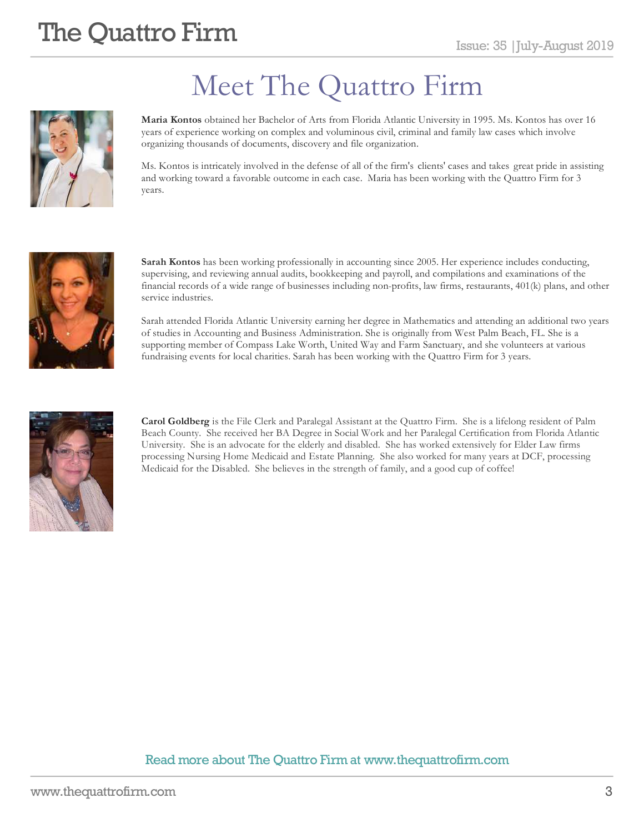

# Meet The Quattro Firm

**Maria Kontos** obtained her Bachelor of Arts from Florida Atlantic University in 1995. Ms. Kontos has over 16 years of experience working on complex and voluminous civil, criminal and family law cases which involve organizing thousands of documents, discovery and file organization.

Ms. Kontos is intricately involved in the defense of all of the firm's clients' cases and takes great pride in assisting and working toward a favorable outcome in each case. Maria has been working with the Quattro Firm for 3 years.



**Sarah Kontos** has been working professionally in accounting since 2005. Her experience includes conducting, supervising, and reviewing annual audits, bookkeeping and payroll, and compilations and examinations of the financial records of a wide range of businesses including non-profits, law firms, restaurants, 401(k) plans, and other service industries.

Sarah attended Florida Atlantic University earning her degree in Mathematics and attending an additional two years of studies in Accounting and Business Administration. She is originally from West Palm Beach, FL. She is a supporting member of Compass Lake Worth, United Way and Farm Sanctuary, and she volunteers at various fundraising events for local charities. Sarah has been working with the Quattro Firm for 3 years.



**Carol Goldberg** is the File Clerk and Paralegal Assistant at the Quattro Firm. She is a lifelong resident of Palm Beach County. She received her BA Degree in Social Work and her Paralegal Certification from Florida Atlantic University. She is an advocate for the elderly and disabled. She has worked extensively for Elder Law firms processing Nursing Home Medicaid and Estate Planning. She also worked for many years at DCF, processing Medicaid for the Disabled. She believes in the strength of family, and a good cup of coffee!

#### Read more about The Quattro Firm at www.thequattrofirm.com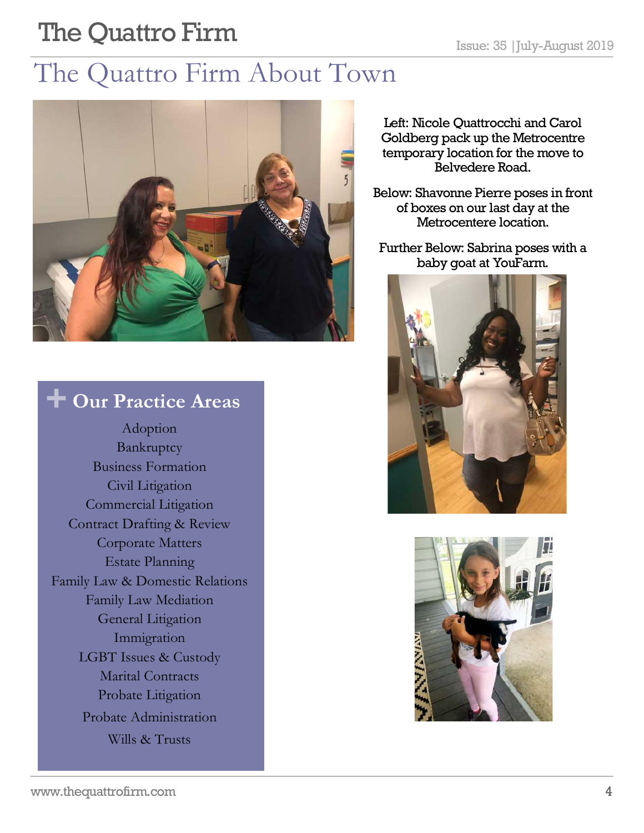# **The Quattro Firm** Issue: 35 |July-August 2019

# The Quattro Firm About Town



### **+ Our Practice Areas**

Adoption Bankruptcy Business Formation Civil Litigation Commercial Litigation Contract Drafting & Review Corporate Matters Estate Planning Family Law & Domestic Relations Family Law Mediation General Litigation Immigration LGBT Issues & Custody Marital Contracts Probate Litigation Probate Administration Wills & Trusts

Left: Nicole Quattrocchi and Carol Goldberg pack up the Metrocentre temporary location for the move to Belvedere Road.

Below: Shavonne Pierre poses in front of boxes on our last day at the Metrocentere location.

Further Below: Sabrina poses with a baby goat at YouFarm.



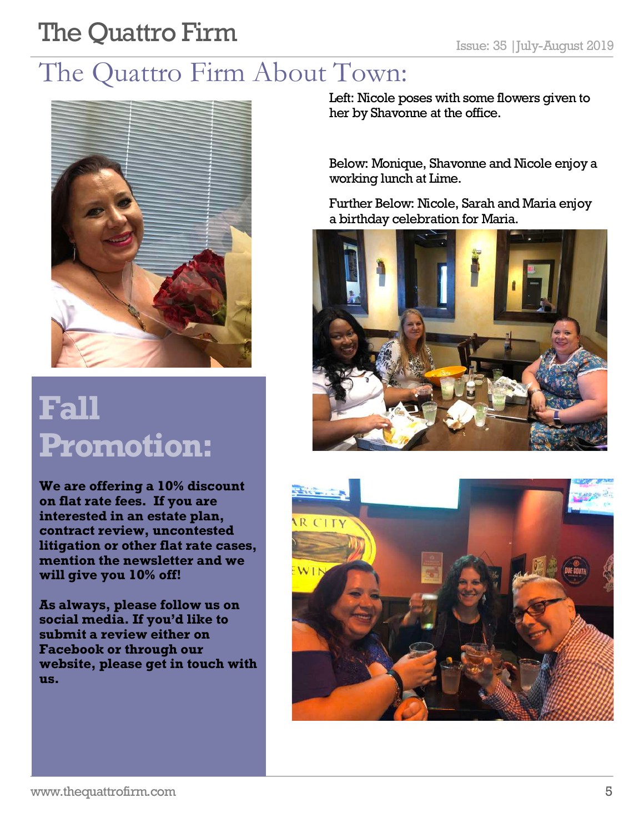# **The Quattro Firm** Issue: 35 |July-August 2019

### The Quattro Firm About Town:



# **Fall Promotion:**

**We are offering a 10% discount on flat rate fees. If you are interested in an estate plan, contract review, uncontested litigation or other flat rate cases, mention the newsletter and we will give you 10% off!** 

**As always, please follow us on social media. If you'd like to submit a review either on Facebook or through our website, please get in touch with us.** 

Left: Nicole poses with some flowers given to her by Shavonne at the office.

Below: Monique, Shavonne and Nicole enjoy a working lunch at Lime.

Further Below: Nicole, Sarah and Maria enjoy a birthday celebration for Maria.



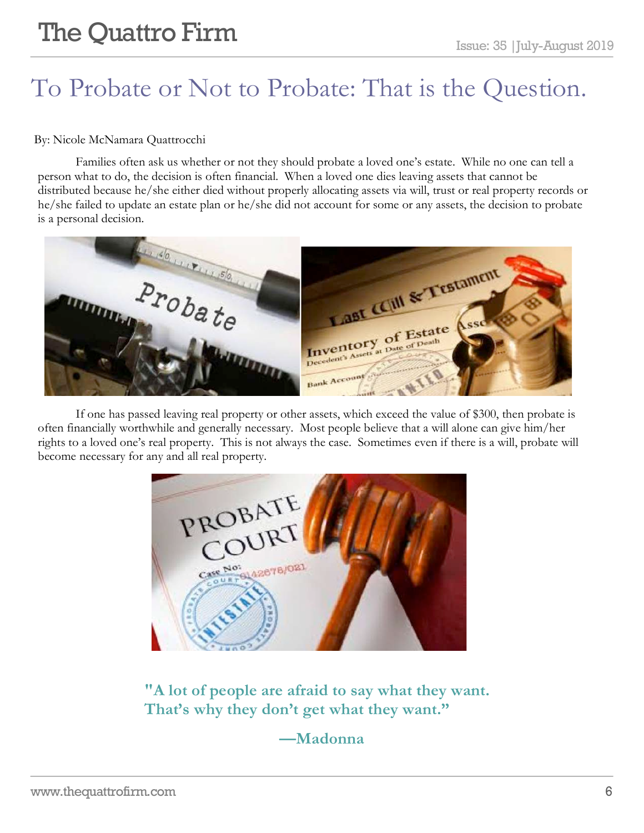# To Probate or Not to Probate: That is the Question.

#### By: Nicole McNamara Quattrocchi

Families often ask us whether or not they should probate a loved one's estate. While no one can tell a person what to do, the decision is often financial. When a loved one dies leaving assets that cannot be distributed because he/she either died without properly allocating assets via will, trust or real property records or he/she failed to update an estate plan or he/she did not account for some or any assets, the decision to probate is a personal decision.



If one has passed leaving real property or other assets, which exceed the value of \$300, then probate is often financially worthwhile and generally necessary. Most people believe that a will alone can give him/her rights to a loved one's real property. This is not always the case. Sometimes even if there is a will, probate will become necessary for any and all real property.

PROBATE<br>COURT 6142678/021 Case Not

**"A lot of people are afraid to say what they want. That's why they don't get what they want."** 

#### **—Madonna**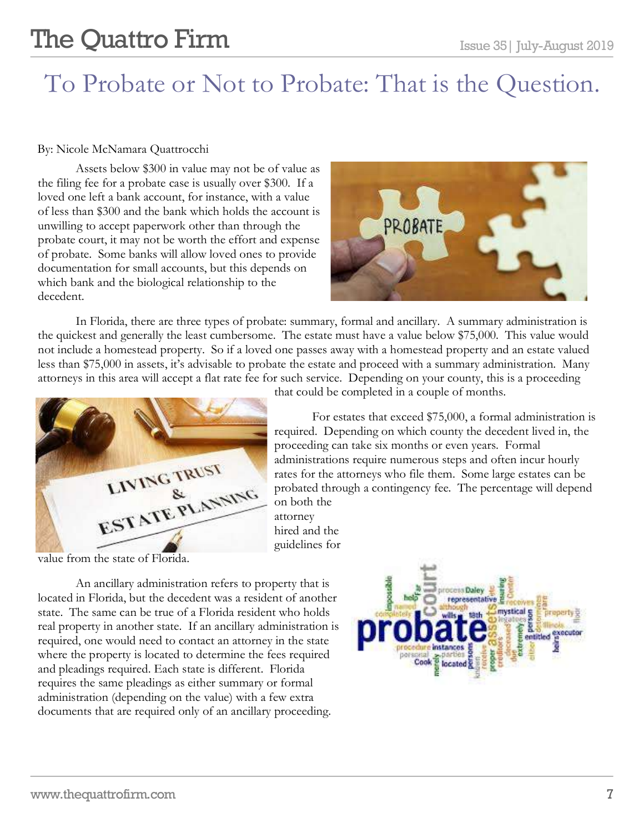### To Probate or Not to Probate: That is the Question.

#### By: Nicole McNamara Quattrocchi

Assets below \$300 in value may not be of value as the filing fee for a probate case is usually over \$300. If a loved one left a bank account, for instance, with a value of less than \$300 and the bank which holds the account is unwilling to accept paperwork other than through the probate court, it may not be worth the effort and expense of probate. Some banks will allow loved ones to provide documentation for small accounts, but this depends on which bank and the biological relationship to the decedent.



In Florida, there are three types of probate: summary, formal and ancillary. A summary administration is the quickest and generally the least cumbersome. The estate must have a value below \$75,000. This value would not include a homestead property. So if a loved one passes away with a homestead property and an estate valued less than \$75,000 in assets, it's advisable to probate the estate and proceed with a summary administration. Many attorneys in this area will accept a flat rate fee for such service. Depending on your county, this is a proceeding



value from the state of Florida.

An ancillary administration refers to property that is located in Florida, but the decedent was a resident of another state. The same can be true of a Florida resident who holds real property in another state. If an ancillary administration is required, one would need to contact an attorney in the state where the property is located to determine the fees required and pleadings required. Each state is different. Florida requires the same pleadings as either summary or formal administration (depending on the value) with a few extra documents that are required only of an ancillary proceeding.

coss Daley mystical g entitled executor

that could be completed in a couple of months.

For estates that exceed \$75,000, a formal administration is required. Depending on which county the decedent lived in, the proceeding can take six months or even years. Formal administrations require numerous steps and often incur hourly rates for the attorneys who file them. Some large estates can be probated through a contingency fee. The percentage will depend on both the

attorney hired and the guidelines for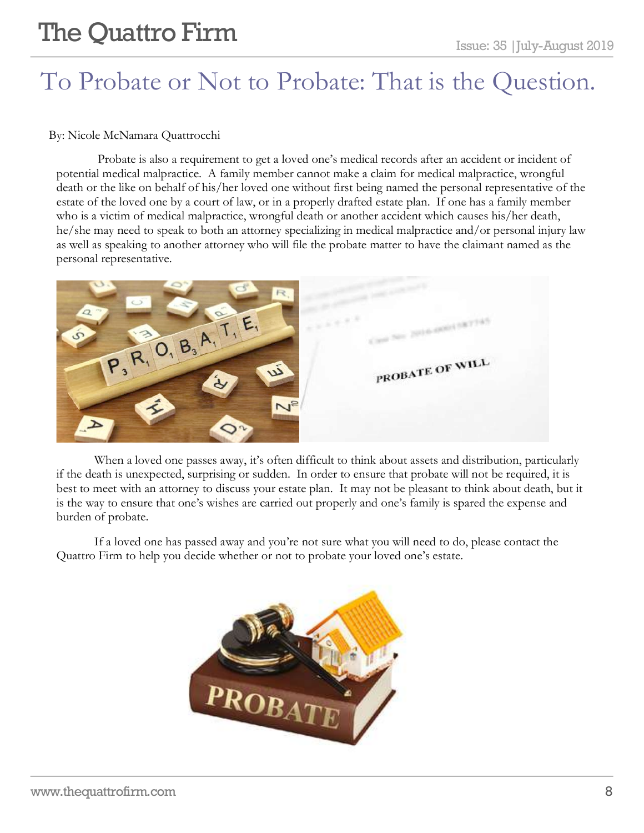# **The Quattro Firm**  $\sum_{\text{Issue: } 35 \mid \text{July-August } 2019}$

### To Probate or Not to Probate: That is the Question.

#### By: Nicole McNamara Quattrocchi

Probate is also a requirement to get a loved one's medical records after an accident or incident of potential medical malpractice. A family member cannot make a claim for medical malpractice, wrongful death or the like on behalf of his/her loved one without first being named the personal representative of the estate of the loved one by a court of law, or in a properly drafted estate plan. If one has a family member who is a victim of medical malpractice, wrongful death or another accident which causes his/her death, he/she may need to speak to both an attorney specializing in medical malpractice and/or personal injury law as well as speaking to another attorney who will file the probate matter to have the claimant named as the personal representative.



When a loved one passes away, it's often difficult to think about assets and distribution, particularly if the death is unexpected, surprising or sudden. In order to ensure that probate will not be required, it is best to meet with an attorney to discuss your estate plan. It may not be pleasant to think about death, but it is the way to ensure that one's wishes are carried out properly and one's family is spared the expense and burden of probate.

If a loved one has passed away and you're not sure what you will need to do, please contact the Quattro Firm to help you decide whether or not to probate your loved one's estate.